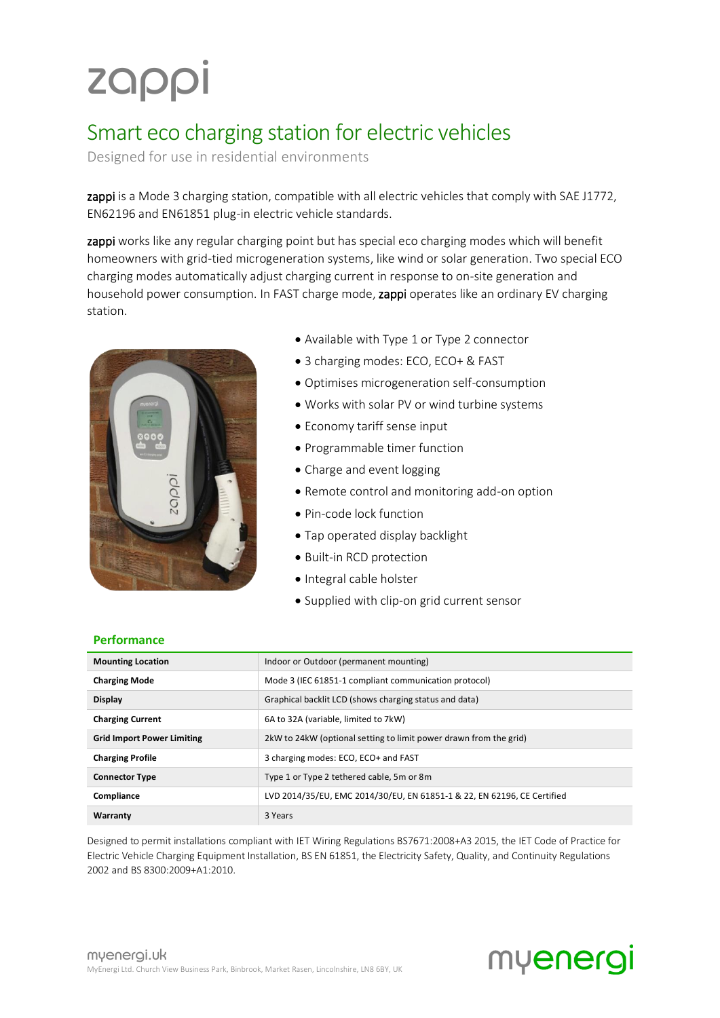# zappi

### Smart eco charging station for electric vehicles

Designed for use in residential environments

zappi is a Mode 3 charging station, compatible with all electric vehicles that comply with SAE J1772, EN62196 and EN61851 plug-in electric vehicle standards.

zappi works like any regular charging point but has special eco charging modes which will benefit homeowners with grid-tied microgeneration systems, like wind or solar generation. Two special ECO charging modes automatically adjust charging current in response to on-site generation and household power consumption. In FAST charge mode, zappi operates like an ordinary EV charging station.



- Available with Type 1 or Type 2 connector
- 3 charging modes: ECO, ECO+ & FAST
- Optimises microgeneration self-consumption
- Works with solar PV or wind turbine systems
- Economy tariff sense input
- Programmable timer function
- Charge and event logging
- Remote control and monitoring add-on option
- Pin-code lock function
- Tap operated display backlight
- Built-in RCD protection
- Integral cable holster
- Supplied with clip-on grid current sensor

#### **Performance**

| <b>Mounting Location</b>          | Indoor or Outdoor (permanent mounting)                                  |  |
|-----------------------------------|-------------------------------------------------------------------------|--|
| <b>Charging Mode</b>              | Mode 3 (IEC 61851-1 compliant communication protocol)                   |  |
| <b>Display</b>                    | Graphical backlit LCD (shows charging status and data)                  |  |
| <b>Charging Current</b>           | 6A to 32A (variable, limited to 7kW)                                    |  |
| <b>Grid Import Power Limiting</b> | 2kW to 24kW (optional setting to limit power drawn from the grid)       |  |
| <b>Charging Profile</b>           | 3 charging modes: ECO, ECO+ and FAST                                    |  |
| <b>Connector Type</b>             | Type 1 or Type 2 tethered cable, 5 m or 8 m                             |  |
| Compliance                        | LVD 2014/35/EU, EMC 2014/30/EU, EN 61851-1 & 22, EN 62196, CE Certified |  |
| Warranty                          | 3 Years                                                                 |  |

Designed to permit installations compliant with IET Wiring Regulations BS7671:2008+A3 2015, the IET Code of Practice for Electric Vehicle Charging Equipment Installation, BS EN 61851, the Electricity Safety, Quality, and Continuity Regulations 2002 and BS 8300:2009+A1:2010.